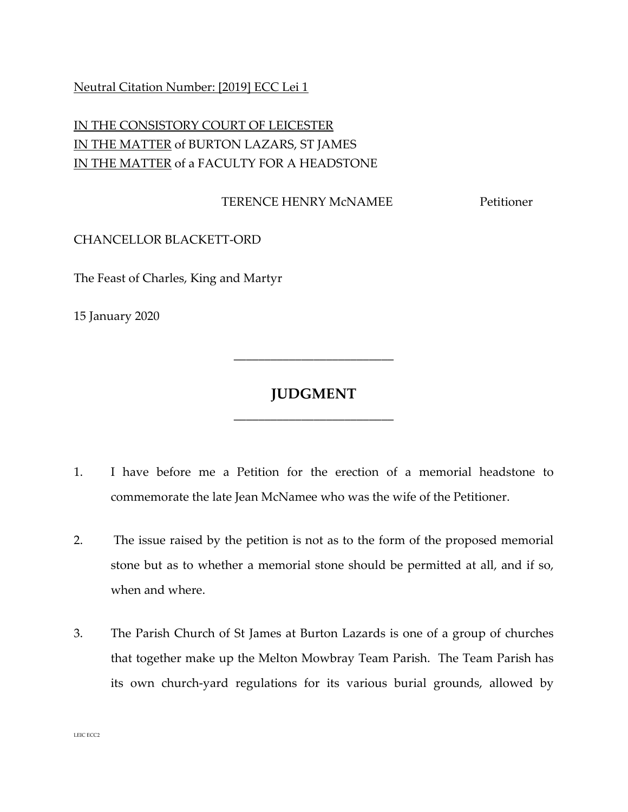## Neutral Citation Number: [2019] ECC Lei 1

# IN THE CONSISTORY COURT OF LEICESTER IN THE MATTER of BURTON LAZARS, ST JAMES IN THE MATTER of a FACULTY FOR A HEADSTONE

#### TERENCE HENRY McNAMEE Petitioner

### CHANCELLOR BLACKETT-ORD

The Feast of Charles, King and Martyr

15 January 2020

# **JUDGMENT**

\_\_\_\_\_\_\_\_\_\_\_\_\_\_\_\_\_\_\_\_\_\_\_\_\_\_

\_\_\_\_\_\_\_\_\_\_\_\_\_\_\_\_\_\_\_\_\_\_\_\_\_\_

- 1. I have before me a Petition for the erection of a memorial headstone to commemorate the late Jean McNamee who was the wife of the Petitioner.
- 2. The issue raised by the petition is not as to the form of the proposed memorial stone but as to whether a memorial stone should be permitted at all, and if so, when and where.
- 3. The Parish Church of St James at Burton Lazards is one of a group of churches that together make up the Melton Mowbray Team Parish. The Team Parish has its own church-yard regulations for its various burial grounds, allowed by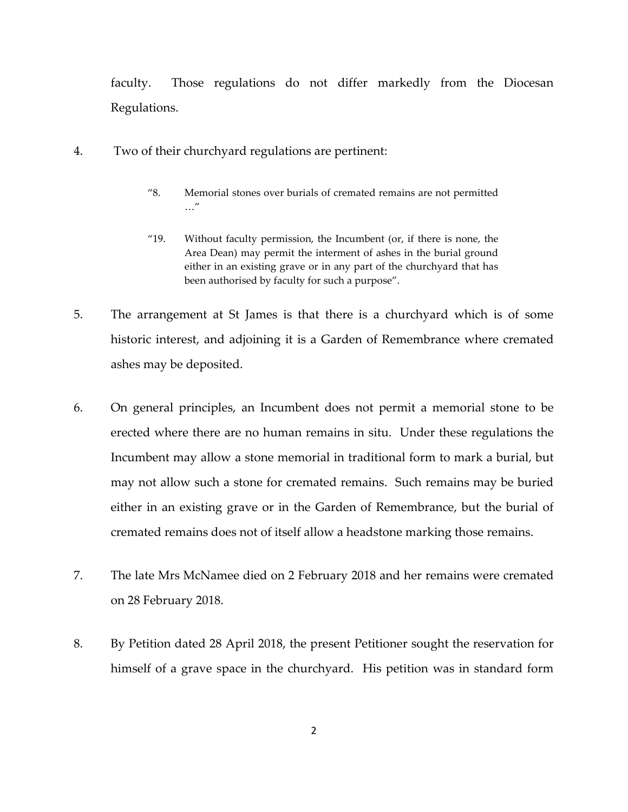faculty. Those regulations do not differ markedly from the Diocesan Regulations.

- 4. Two of their churchyard regulations are pertinent:
	- "8. Memorial stones over burials of cremated remains are not permitted  $\mathcal{L}$
	- "19. Without faculty permission, the Incumbent (or, if there is none, the Area Dean) may permit the interment of ashes in the burial ground either in an existing grave or in any part of the churchyard that has been authorised by faculty for such a purpose".
- 5. The arrangement at St James is that there is a churchyard which is of some historic interest, and adjoining it is a Garden of Remembrance where cremated ashes may be deposited.
- 6. On general principles, an Incumbent does not permit a memorial stone to be erected where there are no human remains in situ. Under these regulations the Incumbent may allow a stone memorial in traditional form to mark a burial, but may not allow such a stone for cremated remains. Such remains may be buried either in an existing grave or in the Garden of Remembrance, but the burial of cremated remains does not of itself allow a headstone marking those remains.
- 7. The late Mrs McNamee died on 2 February 2018 and her remains were cremated on 28 February 2018.
- 8. By Petition dated 28 April 2018, the present Petitioner sought the reservation for himself of a grave space in the churchyard. His petition was in standard form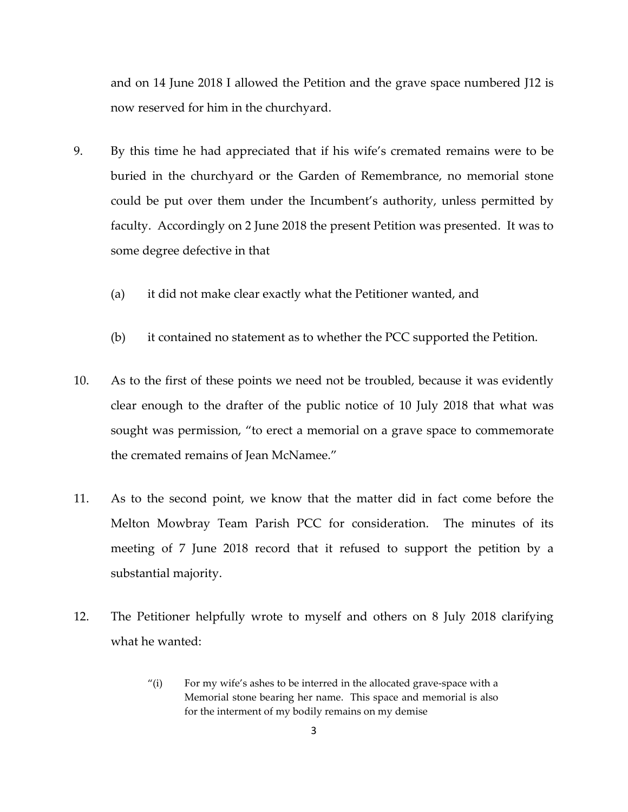and on 14 June 2018 I allowed the Petition and the grave space numbered J12 is now reserved for him in the churchyard.

- 9. By this time he had appreciated that if his wife's cremated remains were to be buried in the churchyard or the Garden of Remembrance, no memorial stone could be put over them under the Incumbent's authority, unless permitted by faculty. Accordingly on 2 June 2018 the present Petition was presented. It was to some degree defective in that
	- (a) it did not make clear exactly what the Petitioner wanted, and
	- (b) it contained no statement as to whether the PCC supported the Petition.
- 10. As to the first of these points we need not be troubled, because it was evidently clear enough to the drafter of the public notice of 10 July 2018 that what was sought was permission, "to erect a memorial on a grave space to commemorate the cremated remains of Jean McNamee."
- 11. As to the second point, we know that the matter did in fact come before the Melton Mowbray Team Parish PCC for consideration. The minutes of its meeting of 7 June 2018 record that it refused to support the petition by a substantial majority.
- 12. The Petitioner helpfully wrote to myself and others on 8 July 2018 clarifying what he wanted:
	- "(i) For my wife's ashes to be interred in the allocated grave-space with a Memorial stone bearing her name. This space and memorial is also for the interment of my bodily remains on my demise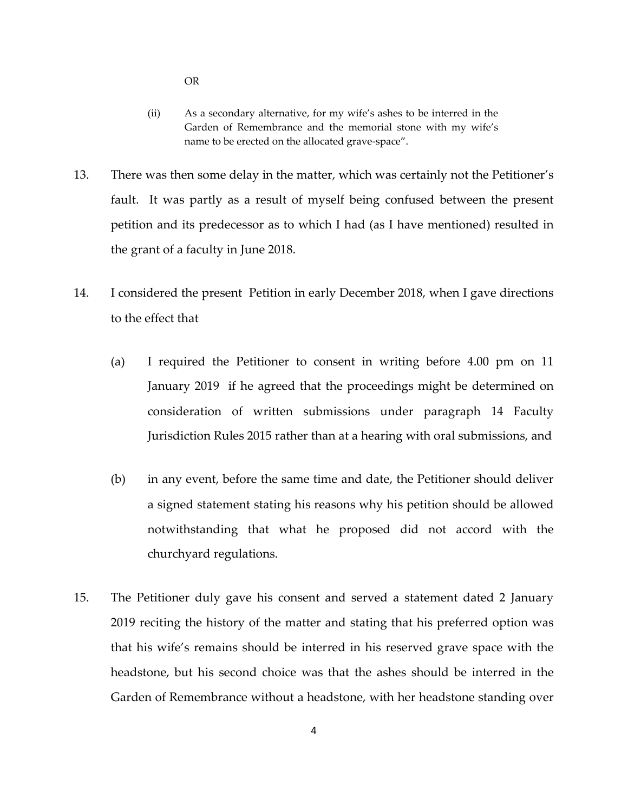OR

- (ii) As a secondary alternative, for my wife's ashes to be interred in the Garden of Remembrance and the memorial stone with my wife's name to be erected on the allocated grave-space".
- 13. There was then some delay in the matter, which was certainly not the Petitioner's fault. It was partly as a result of myself being confused between the present petition and its predecessor as to which I had (as I have mentioned) resulted in the grant of a faculty in June 2018.
- 14. I considered the present Petition in early December 2018, when I gave directions to the effect that
	- (a) I required the Petitioner to consent in writing before 4.00 pm on 11 January 2019 if he agreed that the proceedings might be determined on consideration of written submissions under paragraph 14 Faculty Jurisdiction Rules 2015 rather than at a hearing with oral submissions, and
	- (b) in any event, before the same time and date, the Petitioner should deliver a signed statement stating his reasons why his petition should be allowed notwithstanding that what he proposed did not accord with the churchyard regulations.
- 15. The Petitioner duly gave his consent and served a statement dated 2 January 2019 reciting the history of the matter and stating that his preferred option was that his wife's remains should be interred in his reserved grave space with the headstone, but his second choice was that the ashes should be interred in the Garden of Remembrance without a headstone, with her headstone standing over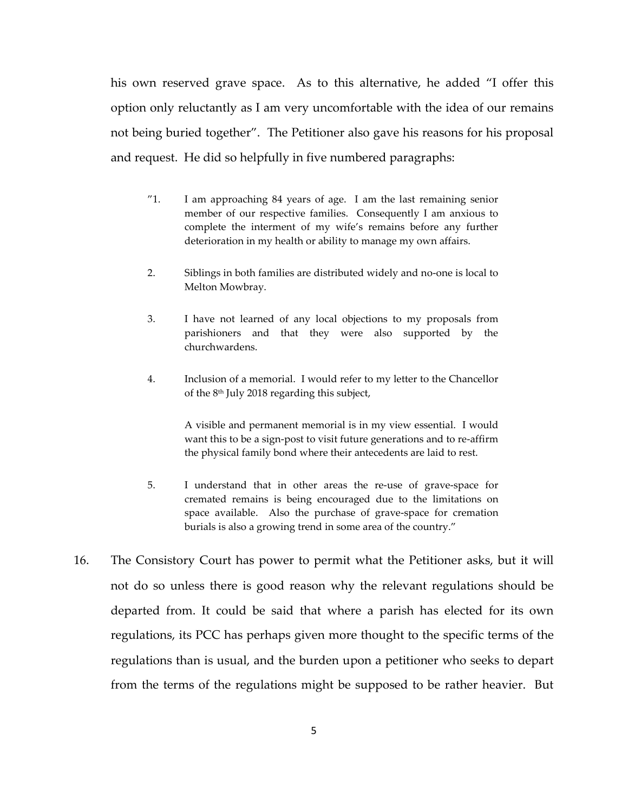his own reserved grave space. As to this alternative, he added "I offer this option only reluctantly as I am very uncomfortable with the idea of our remains not being buried together". The Petitioner also gave his reasons for his proposal and request. He did so helpfully in five numbered paragraphs:

- "1. I am approaching 84 years of age. I am the last remaining senior member of our respective families. Consequently I am anxious to complete the interment of my wife's remains before any further deterioration in my health or ability to manage my own affairs.
- 2. Siblings in both families are distributed widely and no-one is local to Melton Mowbray.
- 3. I have not learned of any local objections to my proposals from parishioners and that they were also supported by the churchwardens.
- 4. Inclusion of a memorial. I would refer to my letter to the Chancellor of the 8th July 2018 regarding this subject,

A visible and permanent memorial is in my view essential. I would want this to be a sign-post to visit future generations and to re-affirm the physical family bond where their antecedents are laid to rest.

- 5. I understand that in other areas the re-use of grave-space for cremated remains is being encouraged due to the limitations on space available. Also the purchase of grave-space for cremation burials is also a growing trend in some area of the country."
- 16. The Consistory Court has power to permit what the Petitioner asks, but it will not do so unless there is good reason why the relevant regulations should be departed from. It could be said that where a parish has elected for its own regulations, its PCC has perhaps given more thought to the specific terms of the regulations than is usual, and the burden upon a petitioner who seeks to depart from the terms of the regulations might be supposed to be rather heavier. But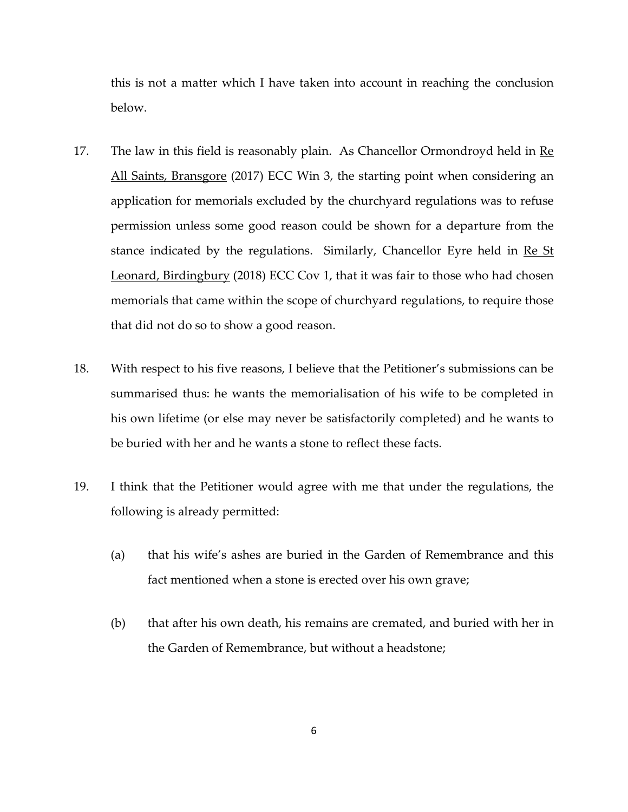this is not a matter which I have taken into account in reaching the conclusion below.

- 17. The law in this field is reasonably plain. As Chancellor Ormondroyd held in  $Re$ All Saints, Bransgore (2017) ECC Win 3, the starting point when considering an application for memorials excluded by the churchyard regulations was to refuse permission unless some good reason could be shown for a departure from the stance indicated by the regulations. Similarly, Chancellor Eyre held in Re St Leonard, Birdingbury (2018) ECC Cov 1, that it was fair to those who had chosen memorials that came within the scope of churchyard regulations, to require those that did not do so to show a good reason.
- 18. With respect to his five reasons, I believe that the Petitioner's submissions can be summarised thus: he wants the memorialisation of his wife to be completed in his own lifetime (or else may never be satisfactorily completed) and he wants to be buried with her and he wants a stone to reflect these facts.
- 19. I think that the Petitioner would agree with me that under the regulations, the following is already permitted:
	- (a) that his wife's ashes are buried in the Garden of Remembrance and this fact mentioned when a stone is erected over his own grave;
	- (b) that after his own death, his remains are cremated, and buried with her in the Garden of Remembrance, but without a headstone;